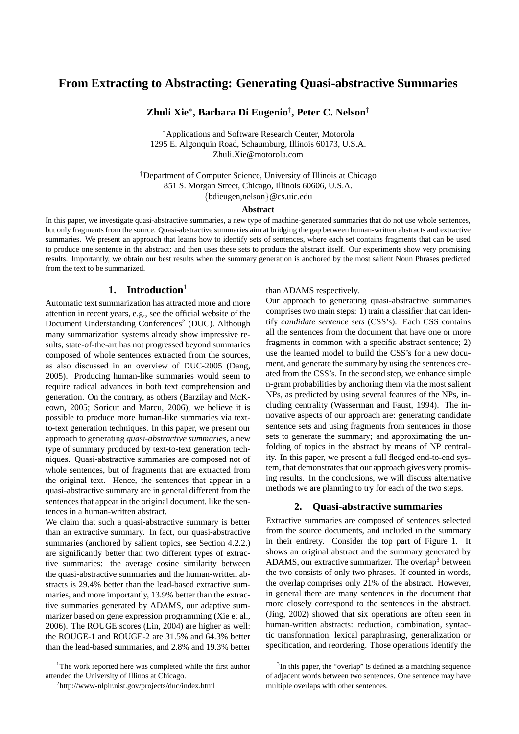# **From Extracting to Abstracting: Generating Quasi-abstractive Summaries**

**Zhuli Xie**<sup>∗</sup> **, Barbara Di Eugenio**† **, Peter C. Nelson**†

<sup>∗</sup>Applications and Software Research Center, Motorola 1295 E. Algonquin Road, Schaumburg, Illinois 60173, U.S.A. Zhuli.Xie@motorola.com

†Department of Computer Science, University of Illinois at Chicago 851 S. Morgan Street, Chicago, Illinois 60606, U.S.A. {bdieugen,nelson}@cs.uic.edu

#### **Abstract**

In this paper, we investigate quasi-abstractive summaries, a new type of machine-generated summaries that do not use whole sentences, but only fragments from the source. Quasi-abstractive summaries aim at bridging the gap between human-written abstracts and extractive summaries. We present an approach that learns how to identify sets of sentences, where each set contains fragments that can be used to produce one sentence in the abstract; and then uses these sets to produce the abstract itself. Our experiments show very promising results. Importantly, we obtain our best results when the summary generation is anchored by the most salient Noun Phrases predicted from the text to be summarized.

## **1. Introduction**<sup>1</sup>

Automatic text summarization has attracted more and more attention in recent years, e.g., see the official website of the Document Understanding Conferences<sup>2</sup> (DUC). Although many summarization systems already show impressive results, state-of-the-art has not progressed beyond summaries composed of whole sentences extracted from the sources, as also discussed in an overview of DUC-2005 (Dang, 2005). Producing human-like summaries would seem to require radical advances in both text comprehension and generation. On the contrary, as others (Barzilay and McKeown, 2005; Soricut and Marcu, 2006), we believe it is possible to produce more human-like summaries via textto-text generation techniques. In this paper, we present our approach to generating *quasi-abstractive summaries*, a new type of summary produced by text-to-text generation techniques. Quasi-abstractive summaries are composed not of whole sentences, but of fragments that are extracted from the original text. Hence, the sentences that appear in a quasi-abstractive summary are in general different from the sentences that appear in the original document, like the sentences in a human-written abstract.

We claim that such a quasi-abstractive summary is better than an extractive summary. In fact, our quasi-abstractive summaries (anchored by salient topics, see Section 4.2.2.) are significantly better than two different types of extractive summaries: the average cosine similarity between the quasi-abstractive summaries and the human-written abstracts is 29.4% better than the lead-based extractive summaries, and more importantly, 13.9% better than the extractive summaries generated by ADAMS, our adaptive summarizer based on gene expression programming (Xie et al., 2006). The ROUGE scores (Lin, 2004) are higher as well: the ROUGE-1 and ROUGE-2 are 31.5% and 64.3% better than the lead-based summaries, and 2.8% and 19.3% better than ADAMS respectively.

Our approach to generating quasi-abstractive summaries comprises two main steps: 1) train a classifier that can identify *candidate sentence sets* (CSS's). Each CSS contains all the sentences from the document that have one or more fragments in common with a specific abstract sentence; 2) use the learned model to build the CSS's for a new document, and generate the summary by using the sentences created from the CSS's. In the second step, we enhance simple n-gram probabilities by anchoring them via the most salient NPs, as predicted by using several features of the NPs, including centrality (Wasserman and Faust, 1994). The innovative aspects of our approach are: generating candidate sentence sets and using fragments from sentences in those sets to generate the summary; and approximating the unfolding of topics in the abstract by means of NP centrality. In this paper, we present a full fledged end-to-end system, that demonstrates that our approach gives very promising results. In the conclusions, we will discuss alternative methods we are planning to try for each of the two steps.

## **2. Quasi-abstractive summaries**

Extractive summaries are composed of sentences selected from the source documents, and included in the summary in their entirety. Consider the top part of Figure 1. It shows an original abstract and the summary generated by ADAMS, our extractive summarizer. The overlap<sup>3</sup> between the two consists of only two phrases. If counted in words, the overlap comprises only 21% of the abstract. However, in general there are many sentences in the document that more closely correspond to the sentences in the abstract. (Jing, 2002) showed that six operations are often seen in human-written abstracts: reduction, combination, syntactic transformation, lexical paraphrasing, generalization or specification, and reordering. Those operations identify the

<sup>&</sup>lt;sup>1</sup>The work reported here was completed while the first author attended the University of Illinos at Chicago.

<sup>2</sup> http://www-nlpir.nist.gov/projects/duc/index.html

<sup>&</sup>lt;sup>3</sup>In this paper, the "overlap" is defined as a matching sequence of adjacent words between two sentences. One sentence may have multiple overlaps with other sentences.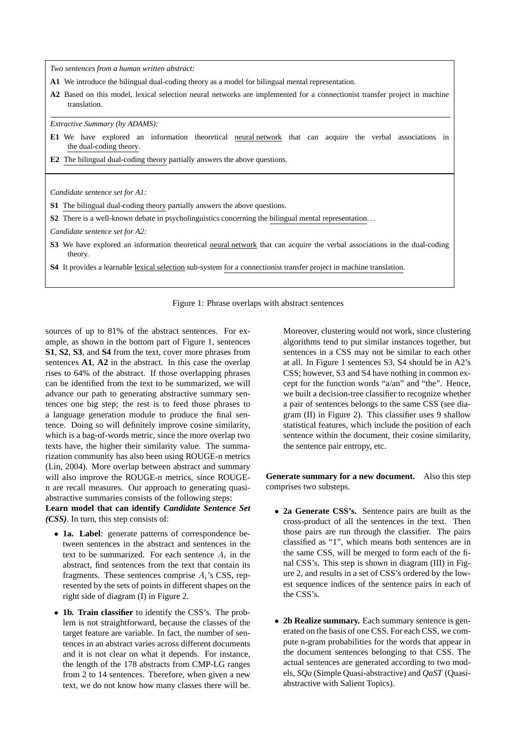*Two sentences from a human written abstract:*

- **A1** We introduce the bilingual dual-coding theory as a model for bilingual mental representation.
- **A2** Based on this model, lexical selection neural networks are implemented for a connectionist transfer project in machine translation.

*Extractive Summary (by ADAMS):*

- **E1** We have explored an information theoretical neural network that can acquire the verbal associations in the dual-coding theory.
- **E2** The bilingual dual-coding theory partially answers the above questions.

*Candidate sentence set for A1:*

- **S1** The bilingual dual-coding theory partially answers the above questions.
- **S2** There is a well-known debate in psycholinguistics concerning the bilingual mental representation...

*Candidate sentence set for A2:*

- **S3** We have explored an information theoretical neural network that can acquire the verbal associations in the dual-coding theory.
- **S4** It provides a learnable lexical selection sub-system for a connectionist transfer project in machine translation.

Figure 1: Phrase overlaps with abstract sentences

sources of up to 81% of the abstract sentences. For example, as shown in the bottom part of Figure 1, sentences **S1**, **S2**, **S3**, and **S4** from the text, cover more phrases from sentences **A1**, **A2** in the abstract. In this case the overlap rises to 64% of the abstract. If those overlapping phrases can be identified from the text to be summarized, we will advance our path to generating abstractive summary sentences one big step; the rest is to feed those phrases to a language generation module to produce the final sentence. Doing so will definitely improve cosine similarity, which is a bag-of-words metric, since the more overlap two texts have, the higher their similarity value. The summarization community has also been using ROUGE-n metrics (Lin, 2004). More overlap between abstract and summary will also improve the ROUGE-n metrics, since ROUGEn are recall measures. Our approach to generating quasiabstractive summaries consists of the following steps:

**Learn model that can identify** *Candidate Sentence Set (CSS)*. In turn, this step consists of:

- **1a. Label**: generate patterns of correspondence between sentences in the abstract and sentences in the text to be summarized. For each sentence  $A_i$  in the abstract, find sentences from the text that contain its fragments. These sentences comprise  $A_i$ 's CSS, represented by the sets of points in different shapes on the right side of diagram (I) in Figure 2.
- **1b. Train classifier** to identify the CSS's. The problem is not straightforward, because the classes of the target feature are variable. In fact, the number of sentences in an abstract varies across different documents and it is not clear on what it depends. For instance, the length of the 178 abstracts from CMP-LG ranges from 2 to 14 sentences. Therefore, when given a new text, we do not know how many classes there will be.

Moreover, clustering would not work, since clustering algorithms tend to put similar instances together, but sentences in a CSS may not be similar to each other at all. In Figure 1 sentences S3, S4 should be in A2's CSS; however, S3 and S4 have nothing in common except for the function words "a/an" and "the". Hence, we built a decision-tree classifier to recognize whether a pair of sentences belongs to the same CSS (see diagram (II) in Figure 2). This classifier uses 9 shallow statistical features, which include the position of each sentence within the document, their cosine similarity, the sentence pair entropy, etc.

**Generate summary for a new document.** Also this step comprises two substeps.

- **2a Generate CSS's.** Sentence pairs are built as the cross-product of all the sentences in the text. Then those pairs are run through the classifier. The pairs classified as "1", which means both sentences are in the same CSS, will be merged to form each of the final CSS's. This step is shown in diagram (III) in Figure 2, and results in a set of CSS's ordered by the lowest sequence indices of the sentence pairs in each of the CSS's.
- **2b Realize summary.** Each summary sentence is generated on the basis of one CSS. For each CSS, we compute n-gram probabilities for the words that appear in the document sentences belonging to that CSS. The actual sentences are generated according to two models, *SQa* (Simple Quasi-abstractive) and *QaST* (Quasiabstractive with Salient Topics).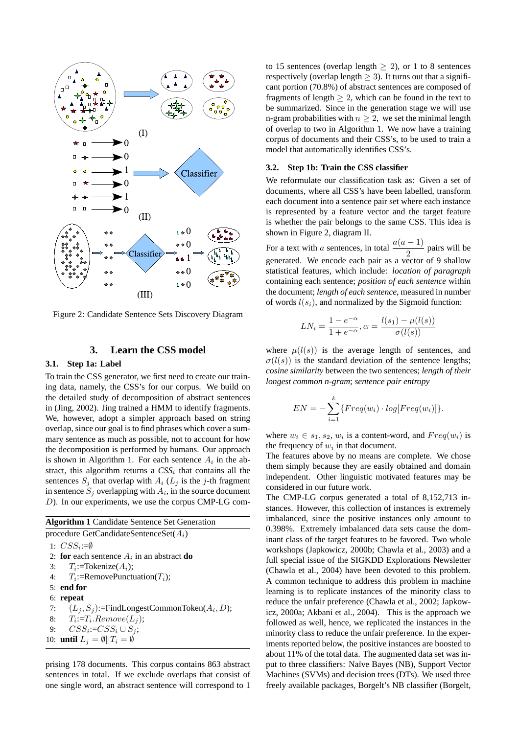

Figure 2: Candidate Sentence Sets Discovery Diagram

## **3. Learn the CSS model**

#### **3.1. Step 1a: Label**

To train the CSS generator, we first need to create our training data, namely, the CSS's for our corpus. We build on the detailed study of decomposition of abstract sentences in (Jing, 2002). Jing trained a HMM to identify fragments. We, however, adopt a simpler approach based on string overlap, since our goal is to find phrases which cover a summary sentence as much as possible, not to account for how the decomposition is performed by humans. Our approach is shown in Algorithm 1. For each sentence  $A_i$  in the abstract, this algorithm returns a  $CSS<sub>i</sub>$  that contains all the sentences  $S_i$  that overlap with  $A_i$  ( $L_i$  is the j-th fragment in sentence  $S_j$  overlapping with  $A_i$ , in the source document D). In our experiments, we use the corpus CMP-LG com-

| $D$ ). In our experiments, we use the corpus CMP-LG co                        |  |
|-------------------------------------------------------------------------------|--|
| <b>Algorithm 1</b> Candidate Sentence Set Generation                          |  |
| $n_{\text{recoodura}} \text{Cat} \text{Cendidata} \text{Cont} \text{Cat} (A)$ |  |

procedure GetCandidateSentenceSet $(A_i)$ 1:  $CSS_i := \emptyset$ 2: **for** each sentence  $A_i$  in an abstract **do** 3:  $T_i$ :=Tokenize( $A_i$ ); 4:  $T_i$ :=RemovePunctuation( $T_i$ ); 5: **end for** 6: **repeat** 7:  $(L_j, S_j)$ :=FindLongestCommonToken $(A_i, D)$ ; 8:  $T_i := T_i$ .  $Remove(L_j);$ 9:  $CSS_i := CSS_i \cup S_j;$ 10: **until**  $L_j = \emptyset ||T_i = \emptyset$ 

prising 178 documents. This corpus contains 863 abstract sentences in total. If we exclude overlaps that consist of one single word, an abstract sentence will correspond to 1

to 15 sentences (overlap length  $\geq$  2), or 1 to 8 sentences respectively (overlap length  $\geq$  3). It turns out that a significant portion (70.8%) of abstract sentences are composed of fragments of length  $\geq 2$ , which can be found in the text to be summarized. Since in the generation stage we will use n-gram probabilities with  $n \geq 2$ , we set the minimal length of overlap to two in Algorithm 1. We now have a training corpus of documents and their CSS's, to be used to train a model that automatically identifies CSS's.

#### **3.2. Step 1b: Train the CSS classifier**

We reformulate our classification task as: Given a set of documents, where all CSS's have been labelled, transform each document into a sentence pair set where each instance is represented by a feature vector and the target feature is whether the pair belongs to the same CSS. This idea is shown in Figure 2, diagram II.

For a text with a sentences, in total  $\frac{a(a-1)}{2}$  pairs will be generated. We encode each pair as a vector of 9 shallow statistical features, which include: *location of paragraph* containing each sentence; *position of each sentence* within the document; *length of each sentence*, measured in number of words  $l(s_i)$ , and normalized by the Sigmoid function:

$$
LN_i = \frac{1 - e^{-\alpha}}{1 + e^{-\alpha}}, \alpha = \frac{l(s_1) - \mu(l(s))}{\sigma(l(s))}
$$

where  $\mu(l(s))$  is the average length of sentences, and  $\sigma(l(s))$  is the standard deviation of the sentence lengths; *cosine similarity* between the two sentences; *length of their longest common n-gram*; *sentence pair entropy*

$$
EN = -\sum_{i=1}^{k} \{Freq(w_i) \cdot log[Freq(w_i)]\}.
$$

where  $w_i \in s_1, s_2, w_i$  is a content-word, and  $Freq(w_i)$  is the frequency of  $w_i$  in that document.

The features above by no means are complete. We chose them simply because they are easily obtained and domain independent. Other linguistic motivated features may be considered in our future work.

The CMP-LG corpus generated a total of 8,152,713 instances. However, this collection of instances is extremely imbalanced, since the positive instances only amount to 0.398%. Extremely imbalanced data sets cause the dominant class of the target features to be favored. Two whole workshops (Japkowicz, 2000b; Chawla et al., 2003) and a full special issue of the SIGKDD Explorations Newsletter (Chawla et al., 2004) have been devoted to this problem. A common technique to address this problem in machine learning is to replicate instances of the minority class to reduce the unfair preference (Chawla et al., 2002; Japkowicz, 2000a; Akbani et al., 2004). This is the approach we followed as well, hence, we replicated the instances in the minority class to reduce the unfair preference. In the experiments reported below, the positive instances are boosted to about 11% of the total data. The augmented data set was input to three classifiers: Naïve Bayes (NB), Support Vector Machines (SVMs) and decision trees (DTs). We used three freely available packages, Borgelt's NB classifier (Borgelt,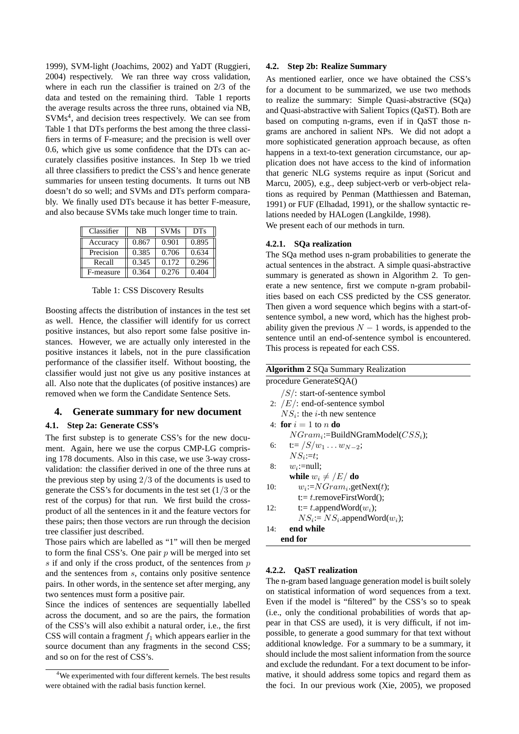1999), SVM-light (Joachims, 2002) and YaDT (Ruggieri, 2004) respectively. We ran three way cross validation, where in each run the classifier is trained on 2/3 of the data and tested on the remaining third. Table 1 reports the average results across the three runs, obtained via NB, SVMs<sup>4</sup>, and decision trees respectively. We can see from Table 1 that DTs performs the best among the three classifiers in terms of F-measure; and the precision is well over 0.6, which give us some confidence that the DTs can accurately classifies positive instances. In Step 1b we tried all three classifiers to predict the CSS's and hence generate summaries for unseen testing documents. It turns out NB doesn't do so well; and SVMs and DTs perform comparably. We finally used DTs because it has better F-measure, and also because SVMs take much longer time to train.

| Classifier | NB    | <b>SVMs</b> | D <sub>Ts</sub> |
|------------|-------|-------------|-----------------|
| Accuracy   | 0.867 | 0.901       | 0.895           |
| Precision  | 0.385 | 0.706       | 0.634           |
| Recall     | 0.345 | 0.172       | 0.296           |
| F-measure  | 0.364 | 0.276       | 0.404           |

Table 1: CSS Discovery Results

Boosting affects the distribution of instances in the test set as well. Hence, the classifier will identify for us correct positive instances, but also report some false positive instances. However, we are actually only interested in the positive instances it labels, not in the pure classification performance of the classifier itself. Without boosting, the classifier would just not give us any positive instances at all. Also note that the duplicates (of positive instances) are removed when we form the Candidate Sentence Sets.

## **4. Generate summary for new document**

#### **4.1. Step 2a: Generate CSS's**

The first substep is to generate CSS's for the new document. Again, here we use the corpus CMP-LG comprising 178 documents. Also in this case, we use 3-way crossvalidation: the classifier derived in one of the three runs at the previous step by using  $2/3$  of the documents is used to generate the CSS's for documents in the test set  $(1/3)$  or the rest of the corpus) for that run. We first build the crossproduct of all the sentences in it and the feature vectors for these pairs; then those vectors are run through the decision tree classifier just described.

Those pairs which are labelled as "1" will then be merged to form the final CSS's. One pair  $p$  will be merged into set  $s$  if and only if the cross product, of the sentences from  $p$ and the sentences from s, contains only positive sentence pairs. In other words, in the sentence set after merging, any two sentences must form a positive pair.

Since the indices of sentences are sequentially labelled across the document, and so are the pairs, the formation of the CSS's will also exhibit a natural order, i.e., the first CSS will contain a fragment  $f_1$  which appears earlier in the source document than any fragments in the second CSS; and so on for the rest of CSS's.

#### **4.2. Step 2b: Realize Summary**

As mentioned earlier, once we have obtained the CSS's for a document to be summarized, we use two methods to realize the summary: Simple Quasi-abstractive (SQa) and Quasi-abstractive with Salient Topics (QaST). Both are based on computing n-grams, even if in QaST those ngrams are anchored in salient NPs. We did not adopt a more sophisticated generation approach because, as often happens in a text-to-text generation circumstance, our application does not have access to the kind of information that generic NLG systems require as input (Soricut and Marcu, 2005), e.g., deep subject-verb or verb-object relations as required by Penman (Matthiessen and Bateman, 1991) or FUF (Elhadad, 1991), or the shallow syntactic relations needed by HALogen (Langkilde, 1998). We present each of our methods in turn.

#### **4.2.1. SQa realization**

The SQa method uses n-gram probabilities to generate the actual sentences in the abstract. A simple quasi-abstractive summary is generated as shown in Algorithm 2. To generate a new sentence, first we compute n-gram probabilities based on each CSS predicted by the CSS generator. Then given a word sequence which begins with a start-ofsentence symbol, a new word, which has the highest probability given the previous  $N - 1$  words, is appended to the sentence until an end-of-sentence symbol is encountered. This process is repeated for each CSS.

| <b>Algorithm 2 SQa Summary Realization</b> |  |  |  |  |  |
|--------------------------------------------|--|--|--|--|--|
| procedure GenerateSQA()                    |  |  |  |  |  |
| $/S$ : start-of-sentence symbol            |  |  |  |  |  |
| 2: $/E$ : end-of-sentence symbol           |  |  |  |  |  |
| $NS_i$ : the <i>i</i> -th new sentence     |  |  |  |  |  |
| 4: for $i=1$ to n do                       |  |  |  |  |  |
| $NGram_i$ :=BuildNGramModel( $CSS_i$ );    |  |  |  |  |  |
| $t = \sqrt{S/w_1 \dots w_{N-2}};$<br>6:    |  |  |  |  |  |
| $NS_i:=t$ :                                |  |  |  |  |  |
| $w_i$ :=null:<br>8:                        |  |  |  |  |  |
| while $w_i \neq /E/\textbf{do}$            |  |  |  |  |  |
| $w_i$ := $NGram_i$ .getNext(t);<br>10:     |  |  |  |  |  |
| $t = t$ .removeFirstWord();                |  |  |  |  |  |
| t:= t.appendWord $(w_i)$ ;<br>12:          |  |  |  |  |  |
| $NS_i$ := $NS_i$ .appendWord $(w_i)$ ;     |  |  |  |  |  |
| end while<br>14:                           |  |  |  |  |  |
| end for                                    |  |  |  |  |  |

#### **4.2.2. QaST realization**

The n-gram based language generation model is built solely on statistical information of word sequences from a text. Even if the model is "filtered" by the CSS's so to speak (i.e., only the conditional probabilities of words that appear in that CSS are used), it is very difficult, if not impossible, to generate a good summary for that text without additional knowledge. For a summary to be a summary, it should include the most salient information from the source and exclude the redundant. For a text document to be informative, it should address some topics and regard them as the foci. In our previous work (Xie, 2005), we proposed

<sup>&</sup>lt;sup>4</sup>We experimented with four different kernels. The best results were obtained with the radial basis function kernel.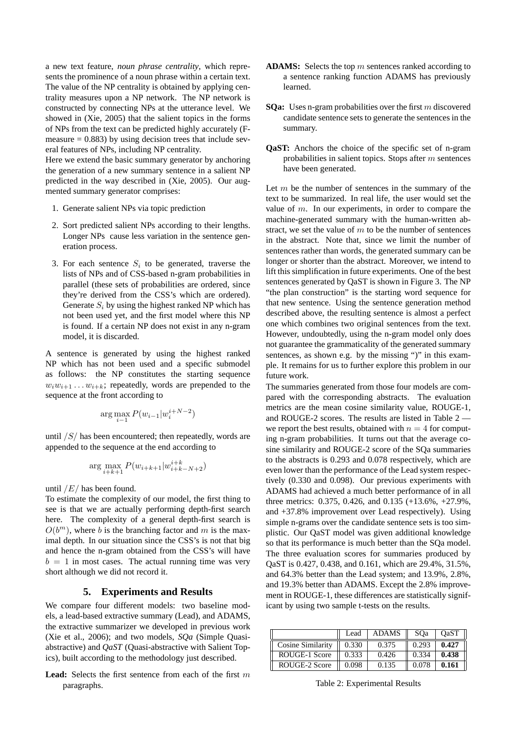a new text feature, *noun phrase centrality*, which represents the prominence of a noun phrase within a certain text. The value of the NP centrality is obtained by applying centrality measures upon a NP network. The NP network is constructed by connecting NPs at the utterance level. We showed in (Xie, 2005) that the salient topics in the forms of NPs from the text can be predicted highly accurately (Fmeasure  $= 0.883$ ) by using decision trees that include several features of NPs, including NP centrality.

Here we extend the basic summary generator by anchoring the generation of a new summary sentence in a salient NP predicted in the way described in (Xie, 2005). Our augmented summary generator comprises:

- 1. Generate salient NPs via topic prediction
- 2. Sort predicted salient NPs according to their lengths. Longer NPs cause less variation in the sentence generation process.
- 3. For each sentence  $S_i$  to be generated, traverse the lists of NPs and of CSS-based n-gram probabilities in parallel (these sets of probabilities are ordered, since they're derived from the CSS's which are ordered). Generate  $S_i$  by using the highest ranked NP which has not been used yet, and the first model where this NP is found. If a certain NP does not exist in any n-gram model, it is discarded.

A sentence is generated by using the highest ranked NP which has not been used and a specific submodel as follows: the NP constitutes the starting sequence  $w_iw_{i+1} \ldots w_{i+k}$ ; repeatedly, words are prepended to the sequence at the front according to

$$
\arg \max_{i=1} P(w_{i-1} | w_i^{i+N-2})
$$

until /S/ has been encountered; then repeatedly, words are appended to the sequence at the end according to

$$
\arg\max_{i+k+1} P(w_{i+k+1} | w_{i+k-N+2}^{i+k})
$$

#### until  $/E/$  has been found.

To estimate the complexity of our model, the first thing to see is that we are actually performing depth-first search here. The complexity of a general depth-first search is  $O(b^m)$ , where b is the branching factor and m is the maximal depth. In our situation since the CSS's is not that big and hence the n-gram obtained from the CSS's will have  $b = 1$  in most cases. The actual running time was very short although we did not record it.

## **5. Experiments and Results**

We compare four different models: two baseline models, a lead-based extractive summary (Lead), and ADAMS, the extractive summarizer we developed in previous work (Xie et al., 2006); and two models, *SQa* (Simple Quasiabstractive) and *QaST* (Quasi-abstractive with Salient Topics), built according to the methodology just described.

**Lead:** Selects the first sentence from each of the first m paragraphs.

- ADAMS: Selects the top m sentences ranked according to a sentence ranking function ADAMS has previously learned.
- **SQa:** Uses n-gram probabilities over the first m discovered candidate sentence sets to generate the sentences in the summary.
- **QaST:** Anchors the choice of the specific set of n-gram probabilities in salient topics. Stops after m sentences have been generated.

Let  $m$  be the number of sentences in the summary of the text to be summarized. In real life, the user would set the value of m. In our experiments, in order to compare the machine-generated summary with the human-written abstract, we set the value of  $m$  to be the number of sentences in the abstract. Note that, since we limit the number of sentences rather than words, the generated summary can be longer or shorter than the abstract. Moreover, we intend to lift this simplification in future experiments. One of the best sentences generated by QaST is shown in Figure 3. The NP "the plan construction" is the starting word sequence for that new sentence. Using the sentence generation method described above, the resulting sentence is almost a perfect one which combines two original sentences from the text. However, undoubtedly, using the n-gram model only does not guarantee the grammaticality of the generated summary sentences, as shown e.g. by the missing ")" in this example. It remains for us to further explore this problem in our future work.

The summaries generated from those four models are compared with the corresponding abstracts. The evaluation metrics are the mean cosine similarity value, ROUGE-1, and ROUGE-2 scores. The results are listed in Table 2 we report the best results, obtained with  $n = 4$  for computing n-gram probabilities. It turns out that the average cosine similarity and ROUGE-2 score of the SQa summaries to the abstracts is 0.293 and 0.078 respectively, which are even lower than the performance of the Lead system respectively (0.330 and 0.098). Our previous experiments with ADAMS had achieved a much better performance of in all three metrics: 0.375, 0.426, and 0.135 (+13.6%, +27.9%, and +37.8% improvement over Lead respectively). Using simple n-grams over the candidate sentence sets is too simplistic. Our QaST model was given additional knowledge so that its performance is much better than the SQa model. The three evaluation scores for summaries produced by QaST is 0.427, 0.438, and 0.161, which are 29.4%, 31.5%, and 64.3% better than the Lead system; and 13.9%, 2.8%, and 19.3% better than ADAMS. Except the 2.8% improvement in ROUGE-1, these differences are statistically significant by using two sample t-tests on the results.

|                      | Lead  | <b>ADAMS</b> | SOa   | OaST  |
|----------------------|-------|--------------|-------|-------|
| Cosine Similarity    | 0.330 | 0.375        | 0.293 | 0.427 |
| ROUGE-1 Score        | 0.333 | 0.426        | 0.334 | 0.438 |
| <b>ROUGE-2 Score</b> | 0.098 | 0.135        | 0.078 | 0.161 |

Table 2: Experimental Results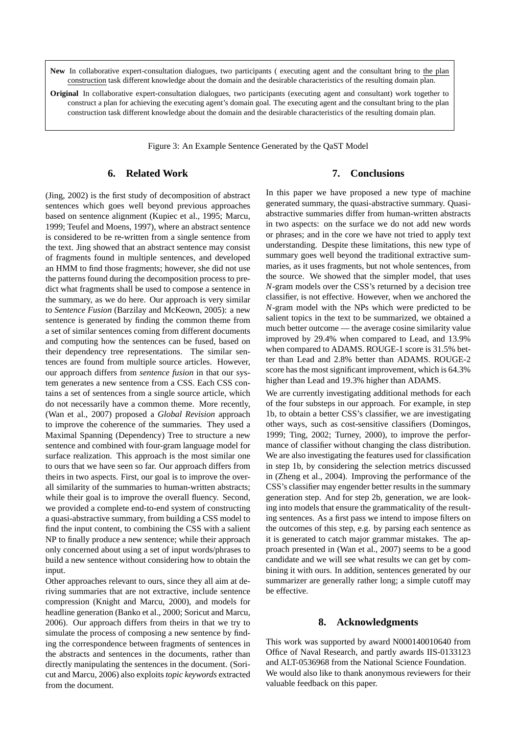**New** In collaborative expert-consultation dialogues, two participants ( executing agent and the consultant bring to the plan construction task different knowledge about the domain and the desirable characteristics of the resulting domain plan.

**Original** In collaborative expert-consultation dialogues, two participants (executing agent and consultant) work together to construct a plan for achieving the executing agent's domain goal. The executing agent and the consultant bring to the plan construction task different knowledge about the domain and the desirable characteristics of the resulting domain plan.

Figure 3: An Example Sentence Generated by the QaST Model

## **6. Related Work**

(Jing, 2002) is the first study of decomposition of abstract sentences which goes well beyond previous approaches based on sentence alignment (Kupiec et al., 1995; Marcu, 1999; Teufel and Moens, 1997), where an abstract sentence is considered to be re-written from a single sentence from the text. Jing showed that an abstract sentence may consist of fragments found in multiple sentences, and developed an HMM to find those fragments; however, she did not use the patterns found during the decomposition process to predict what fragments shall be used to compose a sentence in the summary, as we do here. Our approach is very similar to *Sentence Fusion* (Barzilay and McKeown, 2005): a new sentence is generated by finding the common theme from a set of similar sentences coming from different documents and computing how the sentences can be fused, based on their dependency tree representations. The similar sentences are found from multiple source articles. However, our approach differs from *sentence fusion* in that our system generates a new sentence from a CSS. Each CSS contains a set of sentences from a single source article, which do not necessarily have a common theme. More recently, (Wan et al., 2007) proposed a *Global Revision* approach to improve the coherence of the summaries. They used a Maximal Spanning (Dependency) Tree to structure a new sentence and combined with four-gram language model for surface realization. This approach is the most similar one to ours that we have seen so far. Our approach differs from theirs in two aspects. First, our goal is to improve the overall similarity of the summaries to human-written abstracts; while their goal is to improve the overall fluency. Second, we provided a complete end-to-end system of constructing a quasi-abstractive summary, from building a CSS model to find the input content, to combining the CSS with a salient NP to finally produce a new sentence; while their approach only concerned about using a set of input words/phrases to build a new sentence without considering how to obtain the input.

Other approaches relevant to ours, since they all aim at deriving summaries that are not extractive, include sentence compression (Knight and Marcu, 2000), and models for headline generation (Banko et al., 2000; Soricut and Marcu, 2006). Our approach differs from theirs in that we try to simulate the process of composing a new sentence by finding the correspondence between fragments of sentences in the abstracts and sentences in the documents, rather than directly manipulating the sentences in the document. (Soricut and Marcu, 2006) also exploits *topic keywords* extracted from the document.

## **7. Conclusions**

In this paper we have proposed a new type of machine generated summary, the quasi-abstractive summary. Quasiabstractive summaries differ from human-written abstracts in two aspects: on the surface we do not add new words or phrases; and in the core we have not tried to apply text understanding. Despite these limitations, this new type of summary goes well beyond the traditional extractive summaries, as it uses fragments, but not whole sentences, from the source. We showed that the simpler model, that uses *N*-gram models over the CSS's returned by a decision tree classifier, is not effective. However, when we anchored the *N*-gram model with the NPs which were predicted to be salient topics in the text to be summarized, we obtained a much better outcome — the average cosine similarity value improved by 29.4% when compared to Lead, and 13.9% when compared to ADAMS. ROUGE-1 score is 31.5% better than Lead and 2.8% better than ADAMS. ROUGE-2 score has the most significant improvement, which is 64.3% higher than Lead and 19.3% higher than ADAMS.

We are currently investigating additional methods for each of the four substeps in our approach. For example, in step 1b, to obtain a better CSS's classifier, we are investigating other ways, such as cost-sensitive classifiers (Domingos, 1999; Ting, 2002; Turney, 2000), to improve the performance of classifier without changing the class distribution. We are also investigating the features used for classification in step 1b, by considering the selection metrics discussed in (Zheng et al., 2004). Improving the performance of the CSS's classifier may engender better results in the summary generation step. And for step 2b, generation, we are looking into models that ensure the grammaticality of the resulting sentences. As a first pass we intend to impose filters on the outcomes of this step, e.g. by parsing each sentence as it is generated to catch major grammar mistakes. The approach presented in (Wan et al., 2007) seems to be a good candidate and we will see what results we can get by combining it with ours. In addition, sentences generated by our summarizer are generally rather long; a simple cutoff may be effective.

#### **8. Acknowledgments**

This work was supported by award N000140010640 from Office of Naval Research, and partly awards IIS-0133123 and ALT-0536968 from the National Science Foundation. We would also like to thank anonymous reviewers for their valuable feedback on this paper.